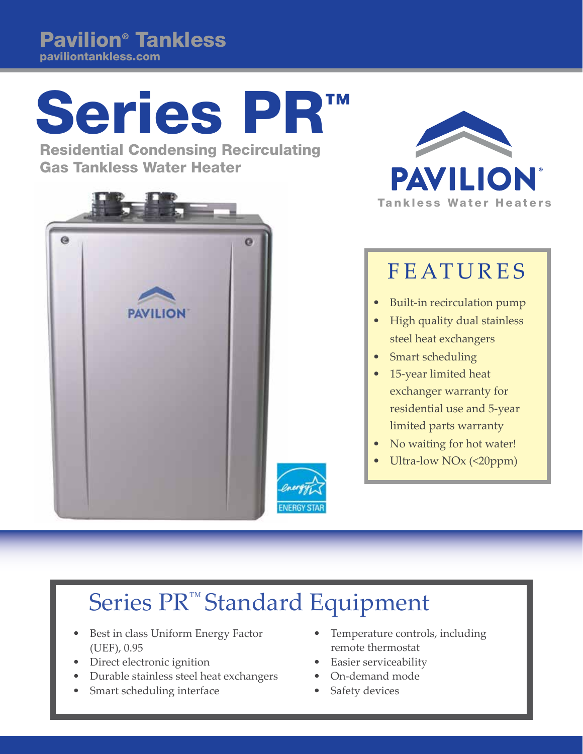Pavilion® Tankless paviliontankless.com

## Series PR

Residential Condensing Recirculating Gas Tankless Water Heater





## FEATURES

- Built-in recirculation pump
- High quality dual stainless steel heat exchangers
- Smart scheduling
- 15-year limited heat exchanger warranty for residential use and 5-year limited parts warranty
- No waiting for hot water!
- Ultra-low NO<sub>x</sub> (<20ppm)

## Series PR<sup>™</sup> Standard Equipment

- Best in class Uniform Energy Factor (UEF), 0.95
- Direct electronic ignition
- Durable stainless steel heat exchangers
- Smart scheduling interface
- Temperature controls, including remote thermostat
- Easier serviceability
- On-demand mode
- Safety devices